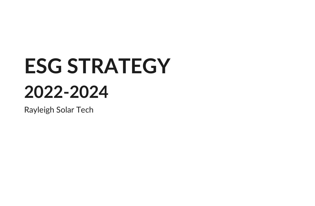# **ESG STRATEGY 2022-2024**

Rayleigh Solar Tech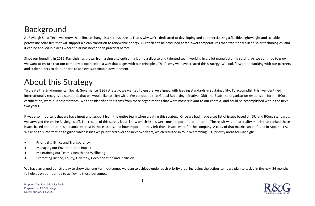## **Background**

At Rayleigh Solar Tech, we know that climate change is a serious threat. That's why we're dedicated to developing and commercializing a flexible, lightweight and scalable perovskite solar film that will support a clean transition to renewable energy. Our tech can be produced at far lower temperatures than traditional silicon solar technologies, and it can be applied in places where solar has never been practical before.

Since our founding in 2016, Rayleigh has grown from a single scientist in a lab, to a diverse and talented team working in a pilot manufacturing setting. As we continue to grow, we want to ensure that our company is operated in a way that aligns with our principles. That's why we have created this strategy. We look forward to working with our partners and stakeholders to do our parts to achieve sustainable development.

## About this Strategy

To create this Environmental, Social, Governance (ESG) strategy, we wanted to ensure we aligned with leading standards in sustainability. To accomplish this, we identified internationally recognized standards that we would like to align with. We concluded that Global Reporting Initiative (GRI) and BLab, the organization responsible for the BCorp certification, were our best matches. We then identified the items from these organizations that were most relevant to our context, and could be accomplished within the next two years.

It was also important that we have input and support from the entire team when creating this strategy. Once we had made a set list of issues based on GRI and BCorp standards, we surveyed the entire Rayleigh staff. The results of this survey let us know which issues were most important to our team. The result was a materiality matrix that ranked these issues based on our team's personal interest in those issues, and how important they felt those issues were for the company. A copy of that matrix can be found in Appendix A. We used this information to guide which issues we prioritized over the next two years, which resulted in four overarching ESG priority areas for Rayleigh:

- Prioritizing Ethics and Transparency
- Managing our Environmental Impact
- Maintaining our Team's Health and Wellbeing
- Promoting Justice, Equity, Diversity, Decolonization and Inclusion

We have arranged our strategy to show the long-term outcomes we plan to achieve under each priority area, including the action items we plan to tackle in the next 24 months to help us on our journey to achieving those outcomes.

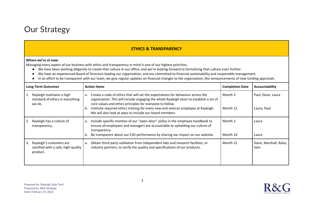

#### **ETHICS & TRANSPARENCY**

#### **Where we're at now:**

Managing every aspect of our business with ethics and transparency in mind is one of our highest priorities.

- We have been working diligently to create that culture in our office, and we're looking forward to formalizing that culture even further.
- We have an experienced Board of Directors leading our organization, and are committed to financial sustainability and responsible management.
- In an effort to be transparent with our team, we give regular updates on financial changes to the organization, like announcements of new funding approvals.

| <b>Long-Term Outcomes</b> |                                                                             | <b>Action Items</b> |                                                                                                                                                                                                                                                                                                                                                                                         | <b>Completion Date</b> | Accountability                   |
|---------------------------|-----------------------------------------------------------------------------|---------------------|-----------------------------------------------------------------------------------------------------------------------------------------------------------------------------------------------------------------------------------------------------------------------------------------------------------------------------------------------------------------------------------------|------------------------|----------------------------------|
|                           | Rayleigh maintains a high<br>standard of ethics in everything<br>we do.     | a.<br>b.            | Create a code of ethics that will set the expectations for behaviour across the<br>organization. This will include engaging the whole Rayleigh team to establish a set of<br>core values and ethics principles for everyone to follow.<br>Institute required ethics training for every new and veteran employee at Rayleigh.<br>We will also look at ways to include our board members. | Month 3<br>Month 12    | Paul, Dane, Laura<br>Laura, Paul |
|                           | Rayleigh has a culture of<br>transparency.                                  | a.<br>b.            | Include specific mention of our "open-door" policy in the employee handbook to<br>ensure all employees and managers are accountable to upholding our culture of<br>transparency.<br>Be transparent about our ESG performance by sharing our impact on our website.                                                                                                                      | Month 3<br>Month 14    | Laura<br>Laura                   |
| 3.                        | Rayleigh's customers are<br>satisfied with a safe, high-quality<br>product. | a.                  | Obtain third-party validation from independent labs and research facilities, or<br>industry partners, to verify the quality and specifications of our products.                                                                                                                                                                                                                         | Month 22               | Dane, Marshall, Raha,<br>Sam     |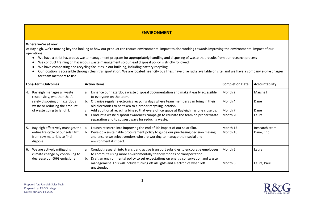#### **ENVIRONMENT**

#### **Where we're at now:**

At Rayleigh, we're moving beyond looking at how our product can reduce environmental impact to also working towards improving the environmental impact of our operations.

- We have a strict hazardous waste management program for appropriately handling and disposing of waste that results from our research process
- We conduct training on hazardous waste management so our lead disposal policy is strictly followed.
- We have composting and recycling facilities in our building, including battery recycling.
- Our location is accessible through clean transportation. We are located near city bus lines, have bike racks available on site, and we have a company e-bike charger for team members to use.

| <b>Long-Term Outcomes</b> |                                                                                                                            | <b>Action Items</b>                                                                                                                                                                                                                                                          | <b>Completion Date</b> | Accountability              |
|---------------------------|----------------------------------------------------------------------------------------------------------------------------|------------------------------------------------------------------------------------------------------------------------------------------------------------------------------------------------------------------------------------------------------------------------------|------------------------|-----------------------------|
| 4.                        | Rayleigh manages all waste<br>responsibly, whether that's<br>safely disposing of hazardous<br>waste or reducing the amount | Enhance our hazardous waste disposal documentation and make it easily accessible<br>a.<br>to everyone on the team.<br>Organize regular electronics recycling days where team members can bring in their<br>b.<br>old electronics to be taken to a proper recycling location. |                        | Marshall<br>Dane            |
|                           | of waste going to landfill.                                                                                                | Add additional recycling bins so that every office space at Rayleigh has one close by.<br>c.                                                                                                                                                                                 | Month 7                | Dane                        |
|                           |                                                                                                                            | Conduct a waste disposal awareness campaign to educate the team on proper waste<br>d.<br>separation and to suggest ways for reducing waste.                                                                                                                                  | Month 20               | Laura                       |
| 5.                        | Rayleigh effectively manages the<br>entire life cycle of our solar film,<br>from raw materials to final<br>disposal        | Launch research into improving the end of life impact of our solar film.<br>Develop a sustainable procurement policy to guide our purchasing decision making<br>and ensure we select vendors who are working to manage their social and<br>environmental impact.             | Month 15<br>Month 16   | Research team<br>Dane, Eric |
| 6.                        | We are actively mitigating<br>climate change by continuing to<br>decrease our GHG emissions                                | Conduct research into transit and active transport subsidies to encourage employees<br>a.<br>to commute using more environmentally friendly modes of transportation.<br>Draft an environmental policy to set expectations on energy conservation and waste<br>b.             | Month 5                | Laura                       |
|                           |                                                                                                                            | management. This will include turning off all lights and electronics when left<br>unattended.                                                                                                                                                                                | Month 6                | Laura, Paul                 |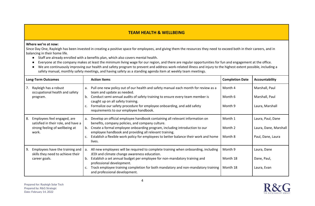#### **TEAM HEALTH & WELLBEING**

#### **Where we're at now:**

Since Day One, Rayleigh has been invested in creating a positive space for employees, and giving them the resources they need to exceed both in their careers, and in balancing in their home life.

- Staff are already enrolled with a benefits plan, which also covers mental health.
- Everyone at the company makes at least the minimum living wage for our region, and there are regular opportunities for fun and engagement at the office.
- We are continuously improving our health and safety program to prevent and address work-related illness and injury to the highest extent possible, including a safety manual, monthly safety meetings, and having safety as a standing agenda item at weekly team meetings.

| <b>Long-Term Outcomes</b> |                                                                                                               |                                                                                                                                                                                                        | <b>Action Items</b>                                                                                                                  | <b>Completion Date</b> | Accountability                   |
|---------------------------|---------------------------------------------------------------------------------------------------------------|--------------------------------------------------------------------------------------------------------------------------------------------------------------------------------------------------------|--------------------------------------------------------------------------------------------------------------------------------------|------------------------|----------------------------------|
|                           | 7. Rayleigh has a robust<br>occupational health and safety                                                    | Pull one new policy out of our health and safety manual each month for review as a<br>a.<br>team and update as needed.<br>Conduct semi-annual audits of safety training to ensure every team member is |                                                                                                                                      | Month 4<br>Month 6     | Marshall, Paul<br>Marshall, Paul |
|                           | program.                                                                                                      | b.                                                                                                                                                                                                     | caught up on all safety training.                                                                                                    |                        |                                  |
|                           |                                                                                                               | c.                                                                                                                                                                                                     | Formalize our safety procedure for employee onboarding, and add safety<br>requirements to our employee handbook.                     | Month 9                | Laura, Marshall                  |
| 8.                        | Employees feel engaged, are<br>satisfied in their role, and have a<br>strong feeling of wellbeing at<br>work. |                                                                                                                                                                                                        | Develop an official employee handbook containing all relevant information on<br>benefits, company policies, and company culture.     | Month 1                | Laura, Paul, Dane                |
|                           |                                                                                                               | b.                                                                                                                                                                                                     | Create a formal employee onboarding program, including introduction to our<br>employee handbook and providing all relevant training. | Month 2                | Laura, Dane, Marshall            |
|                           |                                                                                                               | c.                                                                                                                                                                                                     | Establish a flexible work policy for employees to better balance their work and home<br>lives.                                       | Month 8                | Paul, Dane, Laura                |
| 9.                        | Employees have the training and<br>skills they need to achieve their                                          |                                                                                                                                                                                                        | All new employees will be required to complete training when onboarding, including<br>JEDI and climate change awareness education.   | Month 9                | Laura, Dane                      |
|                           | career goals.                                                                                                 | b.                                                                                                                                                                                                     | Establish a set annual budget per employee for non-mandatory training and<br>professional development.                               | Month 18               | Dane, Paul,                      |
|                           |                                                                                                               | c.                                                                                                                                                                                                     | Track employee training completion for both mandatory and non-mandatory training<br>and professional development.                    | Month 18               | Laura, Evan                      |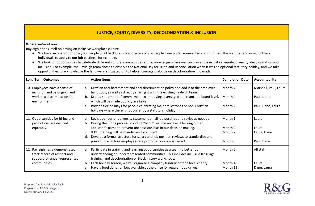#### **JUSTICE, EQUITY, DIVERSITY, DECOLONIZATION & INCLUSION**

#### **Where we're at now:**

Rayleigh prides itself on having an inclusive workplace culture.

- We have an open-door policy for people of all backgrounds and actively hire people from underrepresented communities. This includes encouraging these individuals to apply to our job postings, for example.
- We look for opportunities to celebrate different cultural communities and acknowledge where we can play a role in justice, equity, diversity, decolonization and inclusion. For example, the Rayleigh team chose to observe the National Day for Truth and Reconciliation when it was an optional statutory holiday, and we take opportunities to acknowledge the land we are situated on to help encourage dialogue on decolonization in Canada.

| <b>Long-Term Outcomes</b>                                                                       | <b>Action Items</b>                                                                                                                                                                                                             | <b>Completion Date</b> | Accountability        |
|-------------------------------------------------------------------------------------------------|---------------------------------------------------------------------------------------------------------------------------------------------------------------------------------------------------------------------------------|------------------------|-----------------------|
| 10. Employees have a sense of<br>inclusion and belonging, and                                   | Draft an anti-harassment and anti-discrimination policy and add it to the employee<br>$a_{\cdot}$<br>handbook, as well as directly sharing it with the existing Rayleigh team.                                                  | Month 4                | Marshall, Paul, Laura |
| work in a discrimination-free<br>environment.                                                   | Draft a statement of commitment to improving diversity at the team and board level,<br>b.<br>which will be made publicly available.                                                                                             | Month 4                | Paul, Laura           |
|                                                                                                 | Provide flex holidays for people celebrating major milestones or non-Christian<br>holidays where there is not currently a statutory holiday.                                                                                    | Month 2                | Paul, Dane, Laura     |
| 11. Opportunities for hiring and<br>promotions are decided                                      | Revisit our current diversity statement on all job postings and revise as needed.<br>a.<br>During the hiring process, conduct "blind" resume reviews, blocking out an<br>b.                                                     | Month 1                | Laura                 |
| equitably.                                                                                      | applicant's name to prevent unconscious bias in our decision making.                                                                                                                                                            | Month 2                | Laura                 |
|                                                                                                 | JEDDI training will be mandatory for all staff.<br>c.                                                                                                                                                                           | Month 2                | Laura, Dane           |
|                                                                                                 | Develop a formal structure for salary and job position reviews to standardize and<br>d.                                                                                                                                         |                        |                       |
|                                                                                                 | prevent bias in how employees are promoted or compensated.                                                                                                                                                                      | Month 3                | Paul, Dane            |
| 12. Rayleigh has a demonstrated<br>track record of respect and<br>support for under-represented | Participate in training and learning opportunities as a team to better our<br>a.<br>understanding of underrepresented communities. This includes inclusive language<br>training, and decolonization or Black history workshops. | Month 6                | All staff             |
| communities.                                                                                    | Each holiday season, we will organize a company fundraiser for a local charity.<br>b.                                                                                                                                           | Month 10               | Laura                 |
|                                                                                                 | Have a food donation box available at the office for regular food drives.<br>c.                                                                                                                                                 | Month 15               | Dane, Laura           |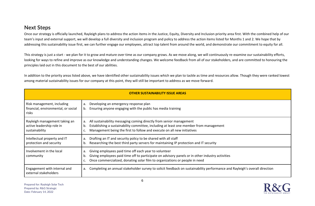### **Next Steps**

Once our strategy is officially launched, Rayleigh plans to address the action items in the Justice, Equity, Diversity and Inclusion priority area first. With the combined help of our team's input and external support, we will develop a full diversity and inclusion program and policy to address the action items listed for Months 1 and 2. We hope that by addressing this sustainability issue first, we can further engage our employees, attract top talent from around the world, and demonstrate our commitment to equity for all.

This strategy is just a start - we plan for it to grow and mature over time as our company grows. As we move along, we will continuously re-examine our sustainability efforts, looking for ways to refine and improve as our knowledge and understanding changes. We welcome feedback from all of our stakeholders, and are committed to honouring the principles laid out in this document to the best of our abilities.

In addition to the priority areas listed above, we have identified other sustainability issues which we plan to tackle as time and resources allow. Though they were ranked lowest among material sustainability issues for our company at this point, they will still be important to address as we move forward.

| <b>OTHER SUSTAINABILITY ISSUE AREAS</b>                                      |                                                                                                                                                                                                                                                      |  |
|------------------------------------------------------------------------------|------------------------------------------------------------------------------------------------------------------------------------------------------------------------------------------------------------------------------------------------------|--|
| Risk management, including<br>financial, environmental, or social<br>risks   | Developing an emergency response plan<br>а.<br>Ensuring anyone engaging with the public has media training<br>b.                                                                                                                                     |  |
| Rayleigh management taking an<br>active leadership role in<br>sustainability | All sustainability messaging coming directly from senior management<br>а.<br>Establishing a sustainability committee, including at least one member from management<br>b.<br>Management being the first to follow and execute on all new initiatives |  |
| Intellectual property and IT<br>protection and security                      | Drafting an IT and security policy to be shared with all staff<br>a.<br>Researching the best third party servers for maintaining IP protection and IT security<br>b.                                                                                 |  |
| Involvement in the local<br>community                                        | Giving employees paid time off each year to volunteer<br>a.<br>Giving employees paid time off to participate on advisory panels or in other industry activities<br>b.<br>Once commercialized, donating solar film to organizations or people in need |  |
| Engagement with internal and<br>external stakeholders                        | Completing an annual stakeholder survey to solicit feedback on sustainability performance and Rayleigh's overall direction<br>а.                                                                                                                     |  |